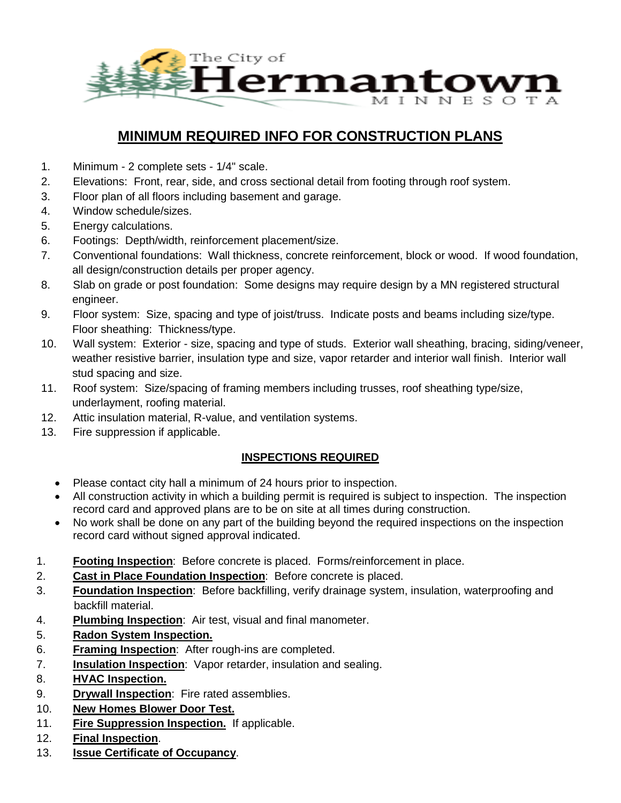

# **MINIMUM REQUIRED INFO FOR CONSTRUCTION PLANS**

- 1. Minimum 2 complete sets 1/4" scale.
- 2. Elevations: Front, rear, side, and cross sectional detail from footing through roof system.
- 3. Floor plan of all floors including basement and garage.
- 4. Window schedule/sizes.
- 5. Energy calculations.
- 6. Footings: Depth/width, reinforcement placement/size.
- 7. Conventional foundations: Wall thickness, concrete reinforcement, block or wood. If wood foundation, all design/construction details per proper agency.
- 8. Slab on grade or post foundation: Some designs may require design by a MN registered structural engineer.
- 9. Floor system: Size, spacing and type of joist/truss. Indicate posts and beams including size/type. Floor sheathing: Thickness/type.
- 10. Wall system: Exterior size, spacing and type of studs. Exterior wall sheathing, bracing, siding/veneer, weather resistive barrier, insulation type and size, vapor retarder and interior wall finish. Interior wall stud spacing and size.
- 11. Roof system: Size/spacing of framing members including trusses, roof sheathing type/size, underlayment, roofing material.
- 12. Attic insulation material, R-value, and ventilation systems.
- 13. Fire suppression if applicable.

### **INSPECTIONS REQUIRED**

- Please contact city hall a minimum of 24 hours prior to inspection.
- All construction activity in which a building permit is required is subject to inspection. The inspection record card and approved plans are to be on site at all times during construction.
- No work shall be done on any part of the building beyond the required inspections on the inspection record card without signed approval indicated.
- 1. **Footing Inspection**: Before concrete is placed. Forms/reinforcement in place.
- 2. **Cast in Place Foundation Inspection**: Before concrete is placed.
- 3. **Foundation Inspection**: Before backfilling, verify drainage system, insulation, waterproofing and backfill material.
- 4. **Plumbing Inspection**: Air test, visual and final manometer.
- 5. **Radon System Inspection.**
- 6. **Framing Inspection**: After rough-ins are completed.
- 7. **Insulation Inspection**: Vapor retarder, insulation and sealing.
- 8. **HVAC Inspection.**
- 9. **Drywall Inspection**: Fire rated assemblies.
- 10. **New Homes Blower Door Test.**
- 11. **Fire Suppression Inspection.** If applicable.
- 12. **Final Inspection**.
- 13. **Issue Certificate of Occupancy**.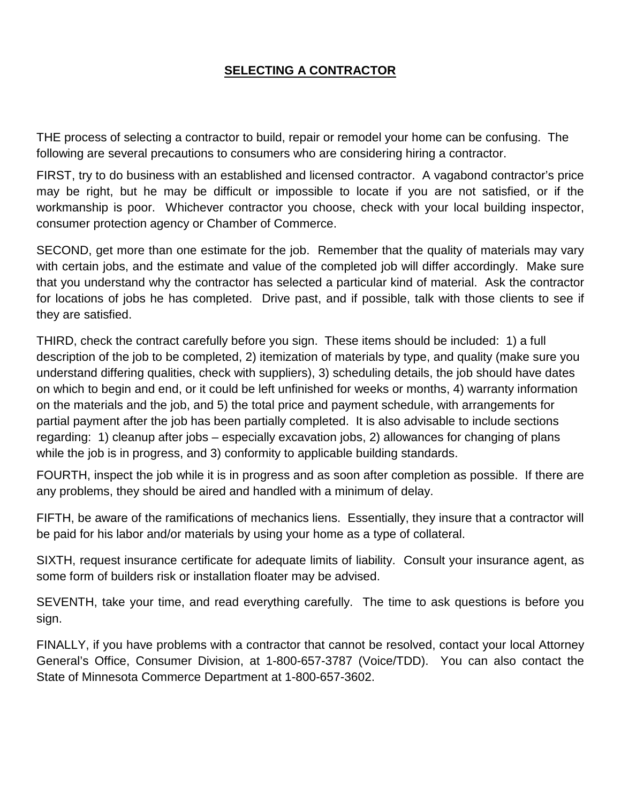# **SELECTING A CONTRACTOR**

THE process of selecting a contractor to build, repair or remodel your home can be confusing. The following are several precautions to consumers who are considering hiring a contractor.

FIRST, try to do business with an established and licensed contractor. A vagabond contractor's price may be right, but he may be difficult or impossible to locate if you are not satisfied, or if the workmanship is poor. Whichever contractor you choose, check with your local building inspector, consumer protection agency or Chamber of Commerce.

SECOND, get more than one estimate for the job. Remember that the quality of materials may vary with certain jobs, and the estimate and value of the completed job will differ accordingly. Make sure that you understand why the contractor has selected a particular kind of material. Ask the contractor for locations of jobs he has completed. Drive past, and if possible, talk with those clients to see if they are satisfied.

THIRD, check the contract carefully before you sign. These items should be included: 1) a full description of the job to be completed, 2) itemization of materials by type, and quality (make sure you understand differing qualities, check with suppliers), 3) scheduling details, the job should have dates on which to begin and end, or it could be left unfinished for weeks or months, 4) warranty information on the materials and the job, and 5) the total price and payment schedule, with arrangements for partial payment after the job has been partially completed. It is also advisable to include sections regarding: 1) cleanup after jobs – especially excavation jobs, 2) allowances for changing of plans while the job is in progress, and 3) conformity to applicable building standards.

FOURTH, inspect the job while it is in progress and as soon after completion as possible. If there are any problems, they should be aired and handled with a minimum of delay.

FIFTH, be aware of the ramifications of mechanics liens. Essentially, they insure that a contractor will be paid for his labor and/or materials by using your home as a type of collateral.

SIXTH, request insurance certificate for adequate limits of liability. Consult your insurance agent, as some form of builders risk or installation floater may be advised.

SEVENTH, take your time, and read everything carefully. The time to ask questions is before you sign.

FINALLY, if you have problems with a contractor that cannot be resolved, contact your local Attorney General's Office, Consumer Division, at 1-800-657-3787 (Voice/TDD). You can also contact the State of Minnesota Commerce Department at 1-800-657-3602.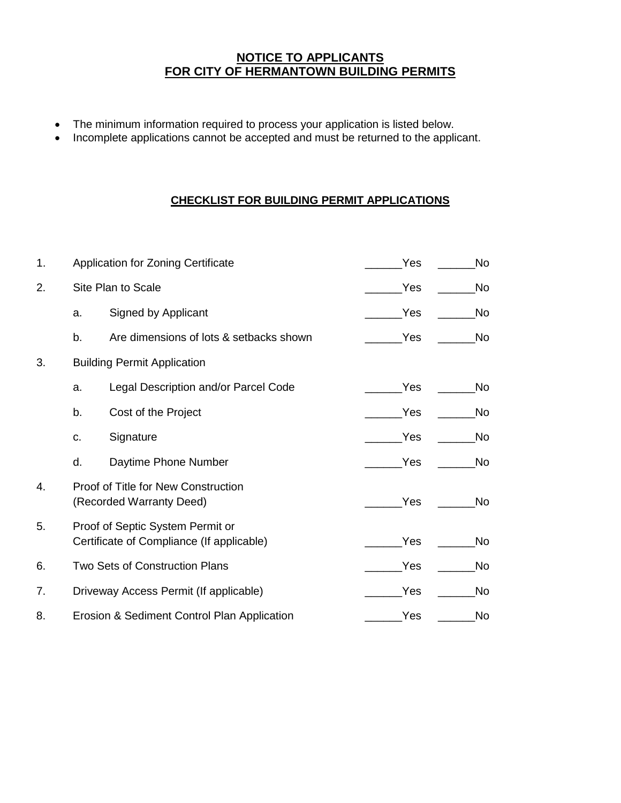### **NOTICE TO APPLICANTS FOR CITY OF HERMANTOWN BUILDING PERMITS**

- The minimum information required to process your application is listed below.
- Incomplete applications cannot be accepted and must be returned to the applicant.

### **CHECKLIST FOR BUILDING PERMIT APPLICATIONS**

| 1. |                                                                                      | <b>Application for Zoning Certificate</b>                       | Yes | <b>No</b> |
|----|--------------------------------------------------------------------------------------|-----------------------------------------------------------------|-----|-----------|
| 2. |                                                                                      | Site Plan to Scale                                              | Yes | No        |
|    | a.                                                                                   | Signed by Applicant                                             | Yes | <b>No</b> |
|    | b.                                                                                   | Are dimensions of lots & setbacks shown                         | Yes | No        |
| 3. |                                                                                      | <b>Building Permit Application</b>                              |     |           |
|    | a.                                                                                   | Legal Description and/or Parcel Code                            | Yes | <b>No</b> |
|    | b.                                                                                   | Cost of the Project                                             | Yes | No        |
|    | C.                                                                                   | Signature                                                       | Yes | <b>No</b> |
|    | d.                                                                                   | Daytime Phone Number                                            | Yes | No        |
| 4. |                                                                                      | Proof of Title for New Construction<br>(Recorded Warranty Deed) | Yes | <b>No</b> |
| 5. | Proof of Septic System Permit or<br>Yes<br>Certificate of Compliance (If applicable) |                                                                 |     | <b>No</b> |
| 6. |                                                                                      | Two Sets of Construction Plans                                  | Yes | No        |
| 7. |                                                                                      | Driveway Access Permit (If applicable)                          | Yes | <b>No</b> |
| 8. |                                                                                      | Erosion & Sediment Control Plan Application                     | Yes | No        |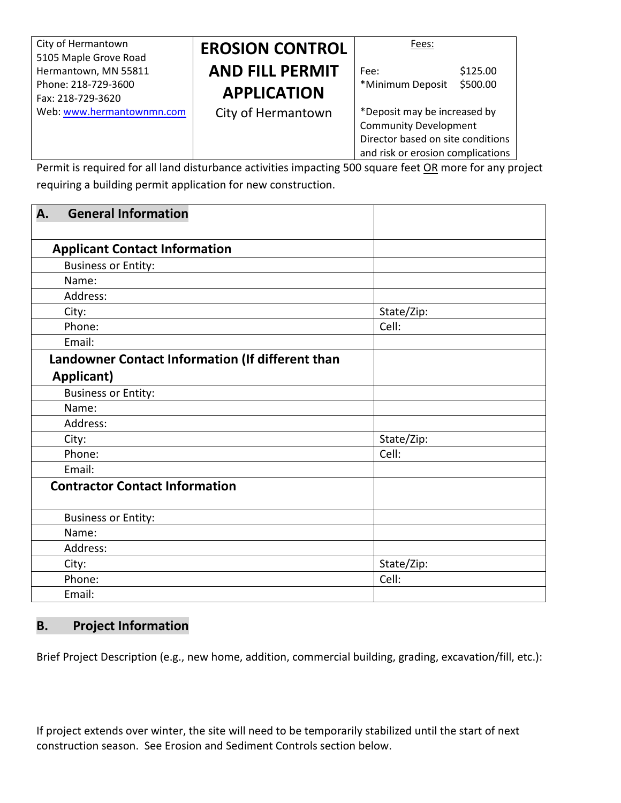| City of Hermantown<br>5105 Maple Grove Road | <b>EROSION CONTROL</b> | Fees:                                                                                                                                  |
|---------------------------------------------|------------------------|----------------------------------------------------------------------------------------------------------------------------------------|
| Hermantown, MN 55811                        | <b>AND FILL PERMIT</b> | \$125.00<br>Fee:                                                                                                                       |
| Phone: 218-729-3600<br>Fax: 218-729-3620    | <b>APPLICATION</b>     | \$500.00<br>*Minimum Deposit                                                                                                           |
| Web: www.hermantownmn.com                   | City of Hermantown     | *Deposit may be increased by<br><b>Community Development</b><br>Director based on site conditions<br>and risk or erosion complications |

Permit is required for all land disturbance activities impacting 500 square feet OR more for any project requiring a building permit application for new construction.

| А.<br><b>General Information</b>                 |            |
|--------------------------------------------------|------------|
|                                                  |            |
| <b>Applicant Contact Information</b>             |            |
| <b>Business or Entity:</b>                       |            |
| Name:                                            |            |
| Address:                                         |            |
| City:                                            | State/Zip: |
| Phone:                                           | Cell:      |
| Email:                                           |            |
| Landowner Contact Information (If different than |            |
| Applicant)                                       |            |
| <b>Business or Entity:</b>                       |            |
| Name:                                            |            |
| Address:                                         |            |
| City:                                            | State/Zip: |
| Phone:                                           | Cell:      |
| Email:                                           |            |
| <b>Contractor Contact Information</b>            |            |
| <b>Business or Entity:</b>                       |            |
| Name:                                            |            |
| Address:                                         |            |
| City:                                            | State/Zip: |
| Phone:                                           | Cell:      |
| Email:                                           |            |

### **B. Project Information**

Brief Project Description (e.g., new home, addition, commercial building, grading, excavation/fill, etc.):

If project extends over winter, the site will need to be temporarily stabilized until the start of next construction season. See Erosion and Sediment Controls section below.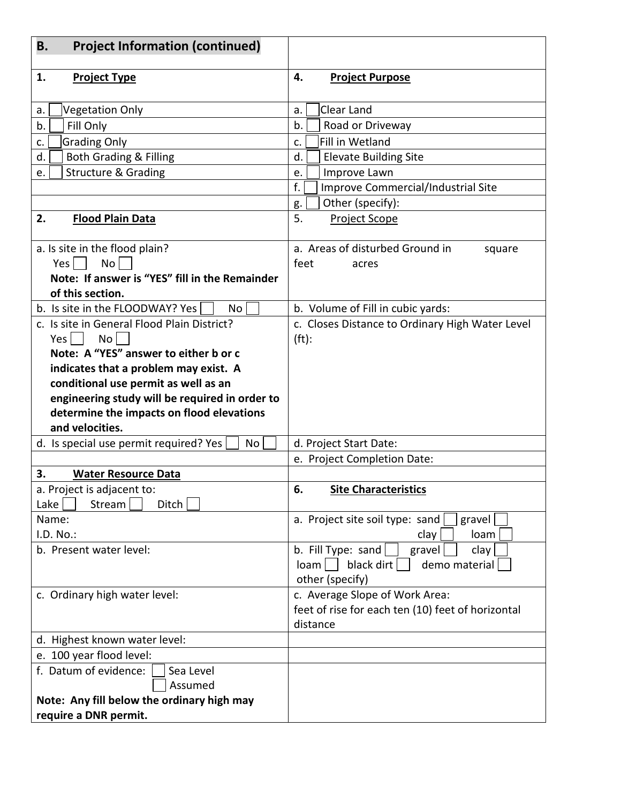| <b>Project Information (continued)</b><br>Β.                                                                                                                                                                                                                                                                                                                                                                                          |                                                                                                                                                                                                                                                                                                                                                                                           |
|---------------------------------------------------------------------------------------------------------------------------------------------------------------------------------------------------------------------------------------------------------------------------------------------------------------------------------------------------------------------------------------------------------------------------------------|-------------------------------------------------------------------------------------------------------------------------------------------------------------------------------------------------------------------------------------------------------------------------------------------------------------------------------------------------------------------------------------------|
| 1.<br><b>Project Type</b>                                                                                                                                                                                                                                                                                                                                                                                                             | 4.<br><b>Project Purpose</b>                                                                                                                                                                                                                                                                                                                                                              |
| <b>Vegetation Only</b><br>a.<br>Fill Only<br>b.<br><b>Grading Only</b><br>c.<br><b>Both Grading &amp; Filling</b><br>d.<br><b>Structure &amp; Grading</b><br>e.<br>2.<br><b>Flood Plain Data</b><br>a. Is site in the flood plain?<br><b>No</b><br>Yes $\vert$ $\vert$<br>Note: If answer is "YES" fill in the Remainder<br>of this section.<br>b. Is site in the FLOODWAY? Yes<br>No.<br>c. Is site in General Flood Plain District? | Clear Land<br>a.<br>b.<br>Road or Driveway<br>Fill in Wetland<br>c.<br>d.<br><b>Elevate Building Site</b><br>Improve Lawn<br>e.<br>f.<br>Improve Commercial/Industrial Site<br>Other (specify):<br>g.<br>5.<br><b>Project Scope</b><br>a. Areas of disturbed Ground in<br>square<br>feet<br>acres<br>b. Volume of Fill in cubic yards:<br>c. Closes Distance to Ordinary High Water Level |
| No  <br>Yes  <br>Note: A "YES" answer to either b or c<br>indicates that a problem may exist. A<br>conditional use permit as well as an<br>engineering study will be required in order to<br>determine the impacts on flood elevations<br>and velocities.<br>d. Is special use permit required? Yes<br>No                                                                                                                             | $(ft)$ :<br>d. Project Start Date:                                                                                                                                                                                                                                                                                                                                                        |
|                                                                                                                                                                                                                                                                                                                                                                                                                                       | e. Project Completion Date:                                                                                                                                                                                                                                                                                                                                                               |
| 3.<br><b>Water Resource Data</b><br>a. Project is adjacent to:<br>Lake<br>Stream<br>Ditch                                                                                                                                                                                                                                                                                                                                             | 6.<br><b>Site Characteristics</b>                                                                                                                                                                                                                                                                                                                                                         |
| Name:<br>I.D. No.:<br>b. Present water level:                                                                                                                                                                                                                                                                                                                                                                                         | a. Project site soil type: sand<br>gravel<br>loam<br>clay<br>b. Fill Type: sand<br>clay<br>gravel<br>black dirt<br>demo material<br>loam l<br>other (specify)                                                                                                                                                                                                                             |
| c. Ordinary high water level:                                                                                                                                                                                                                                                                                                                                                                                                         | c. Average Slope of Work Area:<br>feet of rise for each ten (10) feet of horizontal<br>distance                                                                                                                                                                                                                                                                                           |
| d. Highest known water level:                                                                                                                                                                                                                                                                                                                                                                                                         |                                                                                                                                                                                                                                                                                                                                                                                           |
| e. 100 year flood level:                                                                                                                                                                                                                                                                                                                                                                                                              |                                                                                                                                                                                                                                                                                                                                                                                           |
| f. Datum of evidence:<br>Sea Level<br>Assumed<br>Note: Any fill below the ordinary high may<br>require a DNR permit.                                                                                                                                                                                                                                                                                                                  |                                                                                                                                                                                                                                                                                                                                                                                           |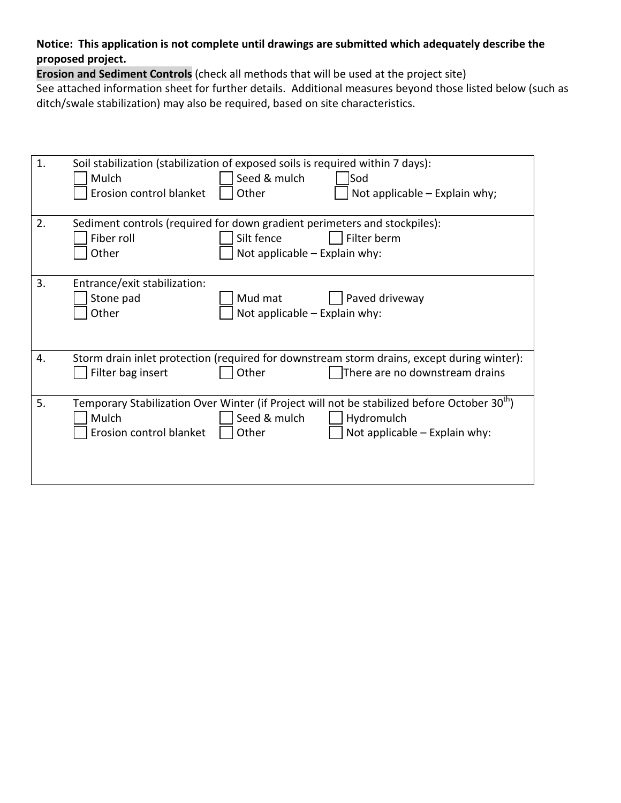### **Notice: This application is not complete until drawings are submitted which adequately describe the proposed project.**

**Erosion and Sediment Controls** (check all methods that will be used at the project site)

See attached information sheet for further details. Additional measures beyond those listed below (such as ditch/swale stabilization) may also be required, based on site characteristics.

| 1. | Soil stabilization (stabilization of exposed soils is required within 7 days): |                               |                                                                                                          |
|----|--------------------------------------------------------------------------------|-------------------------------|----------------------------------------------------------------------------------------------------------|
|    | Mulch                                                                          | Seed & mulch                  | Sod                                                                                                      |
|    | Erosion control blanket                                                        | Other                         | Not applicable $-$ Explain why;                                                                          |
|    |                                                                                |                               |                                                                                                          |
| 2. | Sediment controls (required for down gradient perimeters and stockpiles):      |                               |                                                                                                          |
|    | Fiber roll                                                                     | Silt fence                    | Filter berm                                                                                              |
|    | Other                                                                          | Not applicable - Explain why: |                                                                                                          |
|    |                                                                                |                               |                                                                                                          |
| 3. | Entrance/exit stabilization:                                                   |                               |                                                                                                          |
|    | Stone pad                                                                      | Mud mat                       | Paved driveway                                                                                           |
|    | Other                                                                          | Not applicable - Explain why: |                                                                                                          |
|    |                                                                                |                               |                                                                                                          |
|    |                                                                                |                               |                                                                                                          |
| 4. |                                                                                |                               | Storm drain inlet protection (required for downstream storm drains, except during winter):               |
|    | Filter bag insert                                                              | Other                         | There are no downstream drains                                                                           |
|    |                                                                                |                               |                                                                                                          |
| 5. |                                                                                |                               | Temporary Stabilization Over Winter (if Project will not be stabilized before October 30 <sup>th</sup> ) |
|    | Mulch                                                                          | Seed & mulch                  | Hydromulch                                                                                               |
|    | Erosion control blanket                                                        | Other                         | Not applicable - Explain why:                                                                            |
|    |                                                                                |                               |                                                                                                          |
|    |                                                                                |                               |                                                                                                          |
|    |                                                                                |                               |                                                                                                          |
|    |                                                                                |                               |                                                                                                          |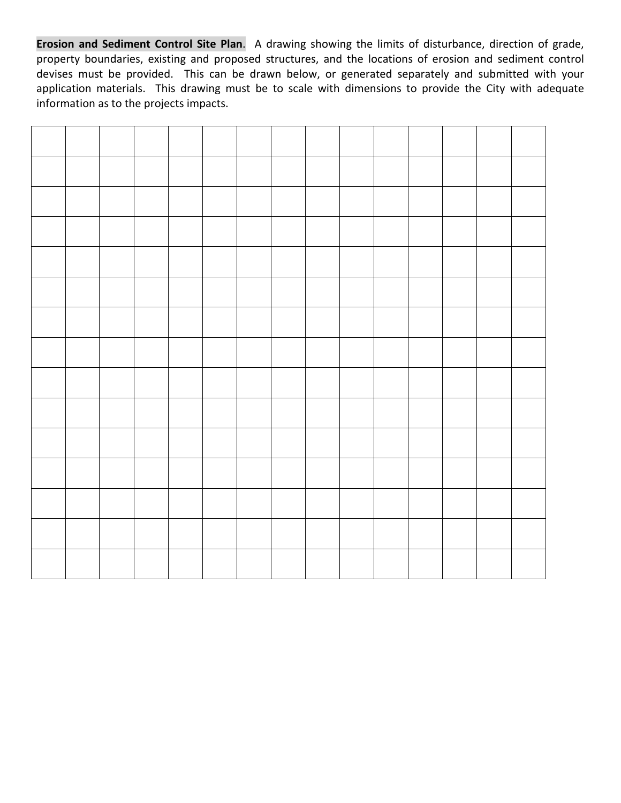**Erosion and Sediment Control Site Plan**. A drawing showing the limits of disturbance, direction of grade, property boundaries, existing and proposed structures, and the locations of erosion and sediment control devises must be provided. This can be drawn below, or generated separately and submitted with your application materials. This drawing must be to scale with dimensions to provide the City with adequate information as to the projects impacts.

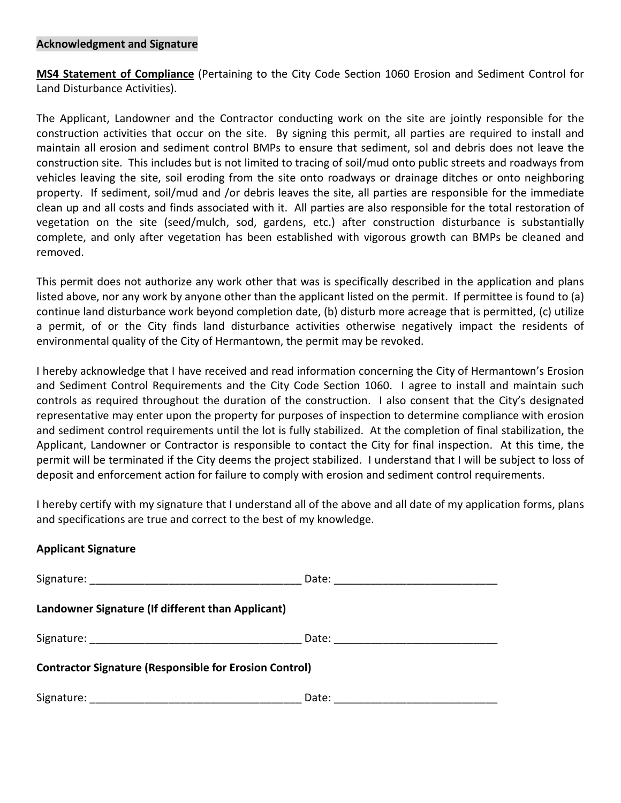#### **Acknowledgment and Signature**

**MS4 Statement of Compliance** (Pertaining to the City Code Section 1060 Erosion and Sediment Control for Land Disturbance Activities).

The Applicant, Landowner and the Contractor conducting work on the site are jointly responsible for the construction activities that occur on the site. By signing this permit, all parties are required to install and maintain all erosion and sediment control BMPs to ensure that sediment, sol and debris does not leave the construction site. This includes but is not limited to tracing of soil/mud onto public streets and roadways from vehicles leaving the site, soil eroding from the site onto roadways or drainage ditches or onto neighboring property. If sediment, soil/mud and /or debris leaves the site, all parties are responsible for the immediate clean up and all costs and finds associated with it. All parties are also responsible for the total restoration of vegetation on the site (seed/mulch, sod, gardens, etc.) after construction disturbance is substantially complete, and only after vegetation has been established with vigorous growth can BMPs be cleaned and removed.

This permit does not authorize any work other that was is specifically described in the application and plans listed above, nor any work by anyone other than the applicant listed on the permit. If permittee is found to (a) continue land disturbance work beyond completion date, (b) disturb more acreage that is permitted, (c) utilize a permit, of or the City finds land disturbance activities otherwise negatively impact the residents of environmental quality of the City of Hermantown, the permit may be revoked.

I hereby acknowledge that I have received and read information concerning the City of Hermantown's Erosion and Sediment Control Requirements and the City Code Section 1060. I agree to install and maintain such controls as required throughout the duration of the construction. I also consent that the City's designated representative may enter upon the property for purposes of inspection to determine compliance with erosion and sediment control requirements until the lot is fully stabilized. At the completion of final stabilization, the Applicant, Landowner or Contractor is responsible to contact the City for final inspection. At this time, the permit will be terminated if the City deems the project stabilized. I understand that I will be subject to loss of deposit and enforcement action for failure to comply with erosion and sediment control requirements.

I hereby certify with my signature that I understand all of the above and all date of my application forms, plans and specifications are true and correct to the best of my knowledge.

### **Applicant Signature**

| Landowner Signature (If different than Applicant)             |       |
|---------------------------------------------------------------|-------|
|                                                               |       |
| <b>Contractor Signature (Responsible for Erosion Control)</b> |       |
|                                                               | Date: |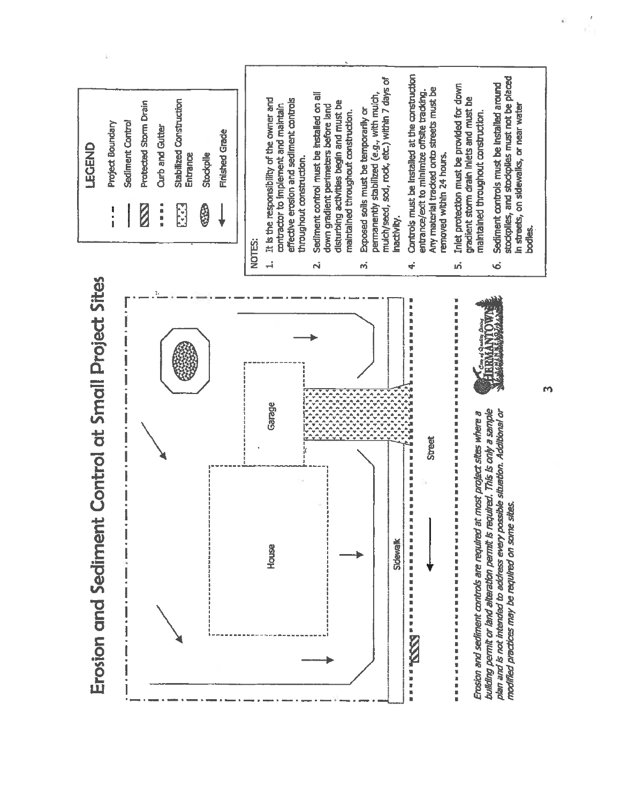

m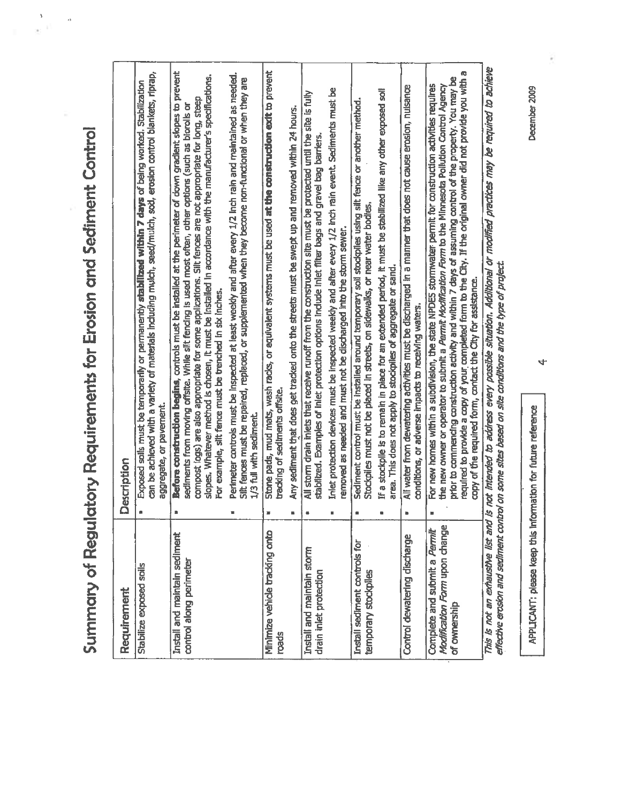Summary of Regulatory Requirements for Erosion and Sediment Control

 $\frac{3}{3}$  if  $\frac{3}{3}$ 

| Requirement                                                                   | Description                                                                                                                                                                                                                                                                                                                                                                                                                                                                                                                    |  |
|-------------------------------------------------------------------------------|--------------------------------------------------------------------------------------------------------------------------------------------------------------------------------------------------------------------------------------------------------------------------------------------------------------------------------------------------------------------------------------------------------------------------------------------------------------------------------------------------------------------------------|--|
| Stabilize exposed soils                                                       | can be achieved with a variety of materials including mulch, seed/mulch, sod, erosion control blankets, riprap,<br>Exposed solls must be temporarily or permanently stabilized within 7 days of being worked. Stabilization<br>aggregate, or pavement.                                                                                                                                                                                                                                                                         |  |
| Install and maintain sediment<br>control along perimeter                      | Before construction begins, controls must be installed at the perimeter of down gradlent slopes to prevent<br>slopes. Whatever method is chosen, it must be installed in accordance with the manufacturer's specifications.<br>compost logs) are also appropriate for some applications. Silt fences are not appropriate for long, steep<br>sediments from moving offsite. While silt fencing is used most often, other options (such as biorolls or<br>For example, silt fence must be trenched in six inches.                |  |
|                                                                               | Perimeter controls must be inspected at least weekly and after every 1/2 inch rain and maintained as needed.<br>Silt fences must be repaired, replaced, or supplemented when they become non-functional or when they are<br>1/3 full with sediment.                                                                                                                                                                                                                                                                            |  |
| Minimize vehicle tracking onto<br>roads                                       | Stone pads, mud mats, wash racks, or equivalent systems must be used at the construction exit to prevent<br>tracking of sediments offsite.                                                                                                                                                                                                                                                                                                                                                                                     |  |
|                                                                               | Any sediment that does get tracked onto the streets must be swept up and removed within 24 hours.                                                                                                                                                                                                                                                                                                                                                                                                                              |  |
| Install and maintain storm<br>drain inlet protection                          | All storm drain inlets that receive runoff from the construction site must be protected until the site is fully<br>stabilized. Examples of inlet protection options include inlet filter bags and gravel bag barriers.                                                                                                                                                                                                                                                                                                         |  |
|                                                                               | Inlet protection devices must be inspected weekly and after every 1/2 inch rain event. Sediments must be<br>removed as needed and must not be discharged into the storm sewer.                                                                                                                                                                                                                                                                                                                                                 |  |
| Install sediment controls for<br>temporary stockpiles                         | Sediment control must be installed around temporary soil stockpiles using silt fence or another method.<br>Stockpiles must not be placed in streets, on sidewalks, or near water bodies.                                                                                                                                                                                                                                                                                                                                       |  |
|                                                                               | If a stockpile is to remain in place for an extended period, it must be stabilized like any other exposed soll<br>area. This does not apply to stockpiles of aggregate or sand.                                                                                                                                                                                                                                                                                                                                                |  |
| Control dewatering discharge                                                  | All water from dewatering activities must be discharged in a manner that does not cause erosion, nuisance<br>conditions, or adverse impacts to receiving waters.                                                                                                                                                                                                                                                                                                                                                               |  |
| Modification Form upon change<br>Complete and submit a Permit<br>of ownership | required to provide a copy of your completed form to the City. If the original owner did not provide you with a<br>prior to commencing construction activity and within 7 days of assuming control of the property. You may be<br>For new homes within a subdivision, the state NPDES stormwater permit for construction activities requires<br>the new owner or operator to submit a <i>Permit Modification Form</i> to the Minnesota Pollution Control Agency<br>copy of the required form, contact the City for assistance. |  |
|                                                                               | This is not an exhaustive list and is not intended to address every possible situation. Additional or modified practices may be required to adhieve<br>קובות האמרות המחקלת בתקן בשקונות המחקרות להתאים הוא המחקר את המחקר המחקר הוא האו המחקר האינה את המחקרות המחקרות                                                                                                                                                                                                                                                         |  |

The providing the property of the second and the conditional maniphology and the conditional state. Ù

APPLICANT: please keep this information for future reference

December 2009

 $\vec{r}$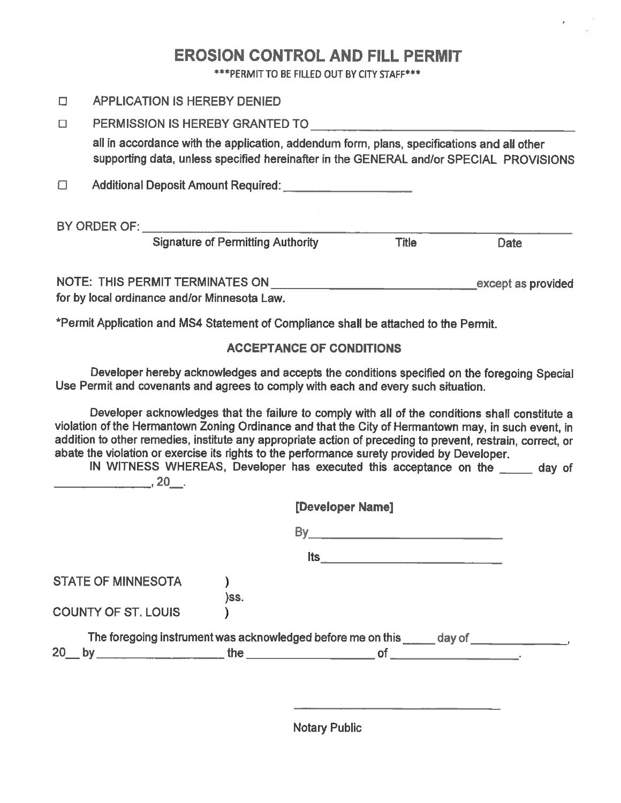# **EROSION CONTROL AND FILL PERMIT**

\*\*\* PERMIT TO BE FILLED OUT BY CITY STAFF\*\*\*

| П      | <b>APPLICATION IS HEREBY DENIED</b>                                                                                                                                                  |              |                    |
|--------|--------------------------------------------------------------------------------------------------------------------------------------------------------------------------------------|--------------|--------------------|
| $\Box$ | PERMISSION IS HEREBY GRANTED TO <b>CONTRACT AND RESIDENT</b>                                                                                                                         |              |                    |
|        | all in accordance with the application, addendum form, plans, specifications and all other<br>supporting data, unless specified hereinafter in the GENERAL and/or SPECIAL PROVISIONS |              |                    |
| Л      |                                                                                                                                                                                      |              |                    |
|        | BY ORDER OF:                                                                                                                                                                         |              |                    |
|        | <b>Signature of Permitting Authority</b>                                                                                                                                             | <b>Title</b> | Date               |
|        | NOTE: THIS PERMIT TERMINATES ON<br>for by local ordinance and/or Minnesota Law.                                                                                                      |              | except as provided |

\*Permit Application and MS4 Statement of Compliance shall be attached to the Permit.

### **ACCEPTANCE OF CONDITIONS**

Developer hereby acknowledges and accepts the conditions specified on the foregoing Special Use Permit and covenants and agrees to comply with each and every such situation.

Developer acknowledges that the failure to comply with all of the conditions shall constitute a violation of the Hermantown Zoning Ordinance and that the City of Hermantown may, in such event, in addition to other remedies, institute any appropriate action of preceding to prevent, restrain, correct, or abate the violation or exercise its rights to the performance surety provided by Developer. IN WITNESS WHEREAS, Developer has executed this acceptance on the \_\_\_\_\_ day of

|                            |      | [Developer Name]                                                                |  |
|----------------------------|------|---------------------------------------------------------------------------------|--|
|                            |      | By.                                                                             |  |
|                            |      | <b>Its</b><br><u> 1980 - Jan Barnett, fransk politiker (d. 1980)</u>            |  |
| <b>STATE OF MINNESOTA</b>  | )SS. |                                                                                 |  |
| <b>COUNTY OF ST. LOUIS</b> |      |                                                                                 |  |
|                            |      | The foregoing instrument was acknowledged before me on this ______ day of _____ |  |
| 20                         |      | by $\qquad \qquad$ the $\qquad \qquad$ of                                       |  |

**Notary Public**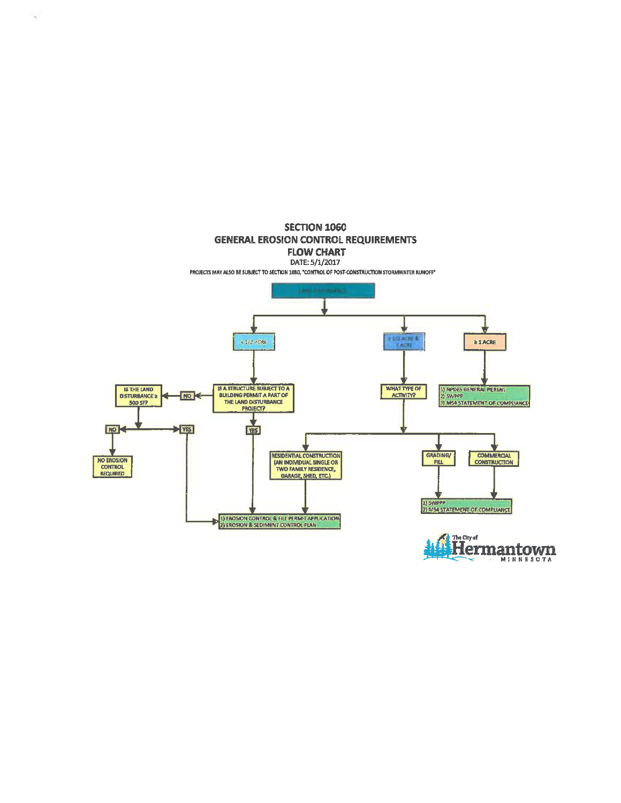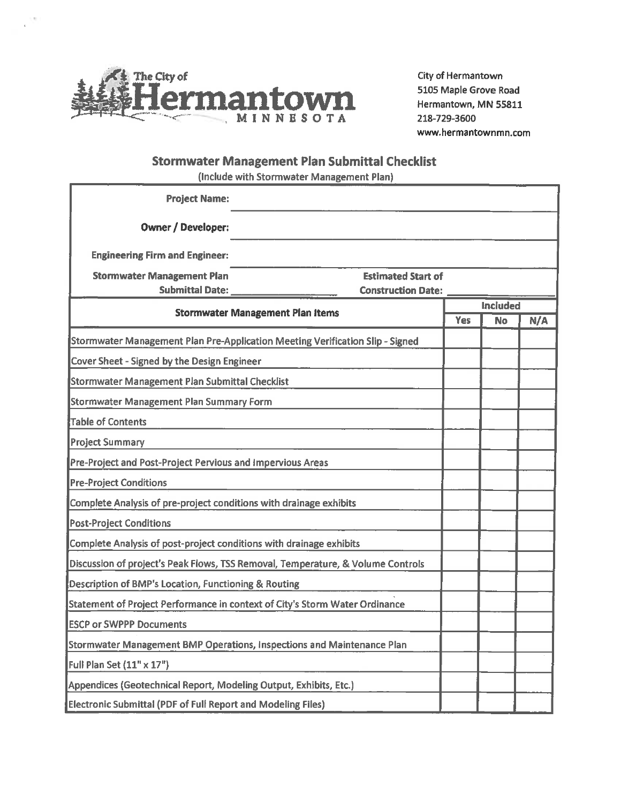

City of Hermantown 5105 Maple Grove Road Hermantown, MN 55811 218-729-3600 www.hermantownmn.com

### **Stormwater Management Plan Submittal Checklist**

(Include with Stormwater Management Plan)

| <b>Project Name:</b>                                                            |                                                                               |            |                 |     |
|---------------------------------------------------------------------------------|-------------------------------------------------------------------------------|------------|-----------------|-----|
| <b>Owner / Developer:</b>                                                       |                                                                               |            |                 |     |
| <b>Engineering Firm and Engineer:</b>                                           |                                                                               |            |                 |     |
| <b>Stormwater Management Plan</b><br><b>Submittal Date:</b>                     | <b>Estimated Start of</b><br><b>Construction Date:</b>                        |            |                 |     |
| <b>Stormwater Management Plan Items</b>                                         |                                                                               |            | <b>Included</b> |     |
|                                                                                 |                                                                               | <b>Yes</b> | <b>No</b>       | N/A |
|                                                                                 | Stormwater Management Plan Pre-Application Meeting Verification Slip - Signed |            |                 |     |
| Cover Sheet - Signed by the Design Engineer                                     |                                                                               |            |                 |     |
| Stormwater Management Plan Submittal Checklist                                  |                                                                               |            |                 |     |
| <b>Stormwater Management Plan Summary Form</b>                                  |                                                                               |            |                 |     |
| <b>Table of Contents</b>                                                        |                                                                               |            |                 |     |
| <b>Project Summary</b>                                                          |                                                                               |            |                 |     |
| Pre-Project and Post-Project Pervious and Impervious Areas                      |                                                                               |            |                 |     |
| <b>Pre-Project Conditions</b>                                                   |                                                                               |            |                 |     |
| Complete Analysis of pre-project conditions with drainage exhibits              |                                                                               |            |                 |     |
| <b>Post-Project Conditions</b>                                                  |                                                                               |            |                 |     |
| Complete Analysis of post-project conditions with drainage exhibits             |                                                                               |            |                 |     |
| Discussion of project's Peak Flows, TSS Removal, Temperature, & Volume Controls |                                                                               |            |                 |     |
| Description of BMP's Location, Functioning & Routing                            |                                                                               |            |                 |     |
| Statement of Project Performance in context of City's Storm Water Ordinance     |                                                                               |            |                 |     |
| <b>ESCP or SWPPP Documents</b>                                                  |                                                                               |            |                 |     |
| Stormwater Management BMP Operations, Inspections and Maintenance Plan          |                                                                               |            |                 |     |
| Full Plan Set (11" x 17")                                                       |                                                                               |            |                 |     |
| Appendices (Geotechnical Report, Modeling Output, Exhibits, Etc.)               |                                                                               |            |                 |     |
| <b>Electronic Submittal (PDF of Full Report and Modeling Files)</b>             |                                                                               |            |                 |     |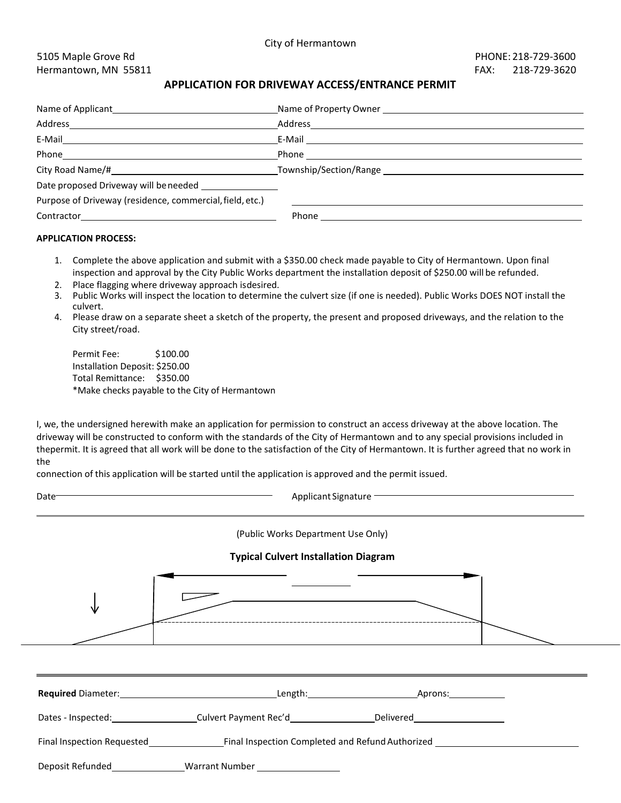#### 5105 Maple Grove Rd PHONE: 218-729-3600 Hermantown, MN 55811 **FAX: 218-729-3620**

#### **APPLICATION FOR DRIVEWAY ACCESS/ENTRANCE PERMIT**

| Address and the control of the control of the control of the control of the control of the control of the control of the control of the control of the control of the control of the control of the control of the control of t | Address                                                                                                                                                                                                                              |
|---------------------------------------------------------------------------------------------------------------------------------------------------------------------------------------------------------------------------------|--------------------------------------------------------------------------------------------------------------------------------------------------------------------------------------------------------------------------------------|
| E-Mail                                                                                                                                                                                                                          |                                                                                                                                                                                                                                      |
|                                                                                                                                                                                                                                 | Phone <b>Contract Contract Contract Contract Contract Contract Contract Contract Contract Contract Contract Contract Contract Contract Contract Contract Contract Contract Contract Contract Contract Contract Contract Contract</b> |
|                                                                                                                                                                                                                                 |                                                                                                                                                                                                                                      |
| Date proposed Driveway will be needed ________________                                                                                                                                                                          |                                                                                                                                                                                                                                      |
| Purpose of Driveway (residence, commercial, field, etc.)                                                                                                                                                                        |                                                                                                                                                                                                                                      |
|                                                                                                                                                                                                                                 |                                                                                                                                                                                                                                      |

#### **APPLICATION PROCESS:**

- 1. Complete the above application and submit with a \$350.00 check made payable to City of Hermantown. Upon final inspection and approval by the City Public Works department the installation deposit of \$250.00 will be refunded.
- 2. Place flagging where driveway approach isdesired.
- 3. Public Works will inspect the location to determine the culvert size (if one is needed). Public Works DOES NOT install the culvert.
- 4. Please draw on a separate sheet a sketch of the property, the present and proposed driveways, and the relation to the City street/road.

| Permit Fee:                    | \$100.00                                       |
|--------------------------------|------------------------------------------------|
| Installation Deposit: \$250.00 |                                                |
| Total Remittance: \$350.00     |                                                |
|                                | *Make checks payable to the City of Hermantown |

I, we, the undersigned herewith make an application for permission to construct an access driveway at the above location. The driveway will be constructed to conform with the standards of the City of Hermantown and to any special provisions included in thepermit. It is agreed that all work will be done to the satisfaction of the City of Hermantown. It is further agreed that no work in the

connection of this application will be started until the application is approved and the permit issued.

Applicant Signature -

(Public Works Department Use Only)

#### **Typical Culvert Installation Diagram**

| ----------<br>. _ _ _ _ _ _ _ _ _ _ _ _ _ _ _ _ |  |
|-------------------------------------------------|--|
|                                                 |  |

| <b>Required Diameter:</b>  | Length: the contract of the contract of the contract of the contract of the contract of the contract of the contract of the contract of the contract of the contract of the contract of the contract of the contract of the co | Aprons:   |
|----------------------------|--------------------------------------------------------------------------------------------------------------------------------------------------------------------------------------------------------------------------------|-----------|
| Dates - Inspected:         |                                                                                                                                                                                                                                | Delivered |
| Final Inspection Requested | Final Inspection Completed and Refund Authorized                                                                                                                                                                               |           |
| Deposit Refunded           | <b>Warrant Number</b>                                                                                                                                                                                                          |           |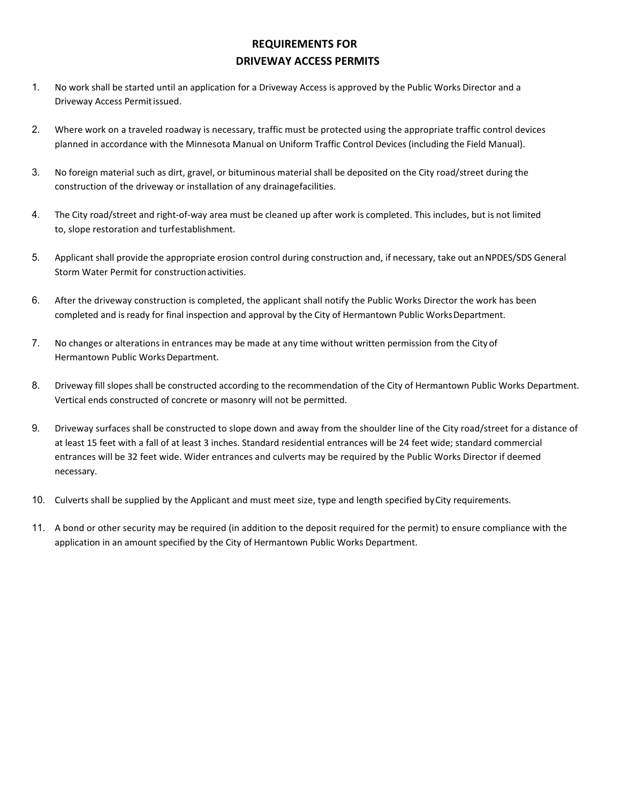### **REQUIREMENTS FOR DRIVEWAY ACCESS PERMITS**

- 1. No work shall be started until an application for a Driveway Access is approved by the Public Works Director and a Driveway Access Permitissued.
- 2. Where work on a traveled roadway is necessary, traffic must be protected using the appropriate traffic control devices planned in accordance with the Minnesota Manual on Uniform Traffic Control Devices (including the Field Manual).
- 3. No foreign material such as dirt, gravel, or bituminous material shall be deposited on the City road/street during the construction of the driveway or installation of any drainagefacilities.
- 4. The City road/street and right-of-way area must be cleaned up after work is completed. This includes, but is not limited to, slope restoration and turfestablishment.
- 5. Applicant shall provide the appropriate erosion control during construction and, if necessary, take out anNPDES/SDS General Storm Water Permit for constructionactivities.
- 6. After the driveway construction is completed, the applicant shall notify the Public Works Director the work has been completed and is ready for final inspection and approval by the City of Hermantown Public Works Department.
- 7. No changes or alterations in entrances may be made at any time without written permission from the City of Hermantown Public Works Department.
- 8. Driveway fill slopes shall be constructed according to the recommendation of the City of Hermantown Public Works Department. Vertical ends constructed of concrete or masonry will not be permitted.
- 9. Driveway surfaces shall be constructed to slope down and away from the shoulder line of the City road/street for a distance of at least 15 feet with a fall of at least 3 inches. Standard residential entrances will be 24 feet wide; standard commercial entrances will be 32 feet wide. Wider entrances and culverts may be required by the Public Works Director if deemed necessary.
- 10. Culverts shall be supplied by the Applicant and must meet size, type and length specified byCity requirements.
- 11. A bond or other security may be required (in addition to the deposit required for the permit) to ensure compliance with the application in an amount specified by the City of Hermantown Public Works Department.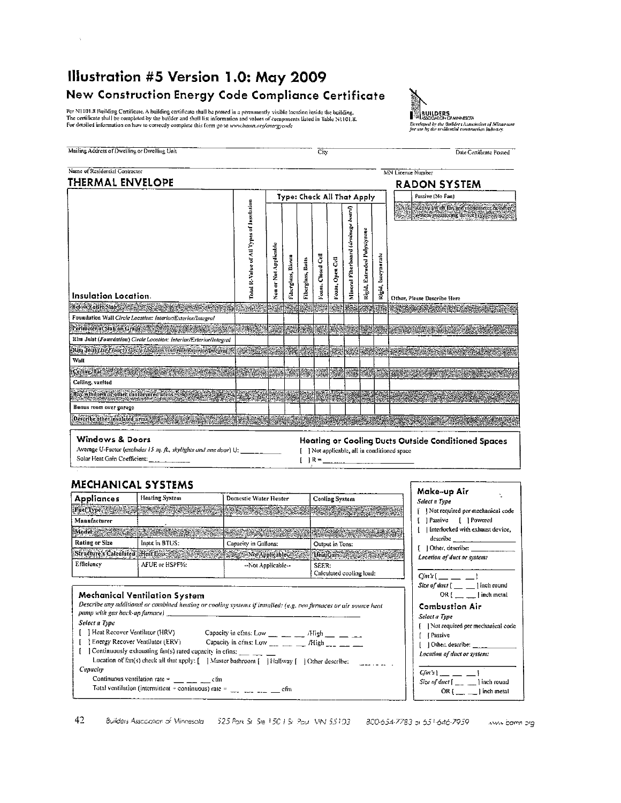# Illustration #5 Version 1.0: May 2009 New Construction Energy Code Compliance Certificate

Per NI101.8 Building Certificate. A building certificate shall be posted in a permanently visible location inside the building.<br>The certificate shall be completed by the builder and shall list information and values of com For detailed information on how to correctly complete this form go to www.hann.org/energycode

Mailing Address of Dwelling or Dwelling Unit

Ŷ.

 $\overline{\mathrm{City}}$ 



Date Certificate Posted

| Name of Residential Contractor                                          |                                          |                            |                   |  |                   |                 |  |                             |                              | MN License Number                                                                                                                                                                                     |
|-------------------------------------------------------------------------|------------------------------------------|----------------------------|-------------------|--|-------------------|-----------------|--|-----------------------------|------------------------------|-------------------------------------------------------------------------------------------------------------------------------------------------------------------------------------------------------|
| <b>THERMAL ENVELOPE</b>                                                 |                                          |                            |                   |  |                   |                 |  |                             |                              | <b>RADON SYSTEM</b>                                                                                                                                                                                   |
|                                                                         |                                          | Type: Check All That Apply |                   |  |                   |                 |  |                             |                              | Passive (No Fan)                                                                                                                                                                                      |
| Insulation Location.                                                    | Total R-Value of All Types of Insulation | Non or Not Applicable      | Fiberglass, Blown |  | Voam, Closed Cell | Vosm, Open Cell |  | Rigid, Extruded Polystyrone | <b>Leocynurate</b><br>kleid. | Active (With fan and monometer or other)<br><b><i>Existencing device the company of the company of the company of the company of the company of the company of</i></b><br>Other, Please Describe Here |
| <b>Below Entire Slab</b>                                                |                                          |                            |                   |  |                   |                 |  |                             |                              |                                                                                                                                                                                                       |
| Foundation Wall Circle Location: Interior/Exterior/Integral             |                                          |                            |                   |  |                   |                 |  |                             |                              |                                                                                                                                                                                                       |
| Perimeter of Slab on Grade                                              |                                          |                            |                   |  |                   |                 |  |                             |                              |                                                                                                                                                                                                       |
| Rim Juist (Foundation) Circle Location: Interior/Exterior/Integral      |                                          |                            |                   |  |                   |                 |  |                             |                              |                                                                                                                                                                                                       |
| Rim Joist (1st Floor) Circle Location (Interior/Exterior/Integral)      |                                          |                            |                   |  |                   |                 |  |                             |                              |                                                                                                                                                                                                       |
| Wall                                                                    |                                          |                            |                   |  |                   |                 |  |                             |                              |                                                                                                                                                                                                       |
| Ceiling, flat                                                           |                                          |                            |                   |  |                   |                 |  |                             |                              |                                                                                                                                                                                                       |
| Ceiling, vaulted                                                        |                                          |                            |                   |  |                   |                 |  |                             |                              |                                                                                                                                                                                                       |
| Bay windows or other can devered areas<br><b>MARINE COMPANY COMPANY</b> |                                          |                            |                   |  |                   |                 |  |                             |                              |                                                                                                                                                                                                       |
| Bonus room over garage                                                  |                                          |                            |                   |  |                   |                 |  |                             |                              |                                                                                                                                                                                                       |
|                                                                         |                                          |                            |                   |  |                   |                 |  |                             |                              |                                                                                                                                                                                                       |

**Windows & Doors** 

Average U-Factor (excludes 15 sq. ft., skylights and ane door) U: Solar Heat Gain Coefficient:

Heating or Cooling Ducts Outside Conditioned Spaces [ ] Not applicable, all in conditioned space  $[$   $]$  R =

#### **MECHANICAL SYSTEMS**

| <b>Appliances</b> | <b>Heating System</b>                                                                                           | Domestic Water Heater                                                                                                                                                                                                            | <b>Cooling System</b>             |
|-------------------|-----------------------------------------------------------------------------------------------------------------|----------------------------------------------------------------------------------------------------------------------------------------------------------------------------------------------------------------------------------|-----------------------------------|
|                   |                                                                                                                 | s pro Type and the second complete the second state of the complete state and the second state of the second c<br>The Type and the the process of the second state of the second complete second the the second the second of th |                                   |
| Manufacturer      |                                                                                                                 |                                                                                                                                                                                                                                  |                                   |
|                   | A forfel a service construction of the construction of the construction of the construction of the construction | status kaupakan kalendari dan tahun 1989. Bagi terdapat dari pengarun dan berasarkan dalam kelasarkan dalam be<br>Syarah pemanjatan dan terdapat dan berasal dalam berasal dan berasal dan berasal dan berasal dan berasa dan be |                                   |
| Ruting or Size    | Input in BTUS:                                                                                                  | Capacity in Gallons:                                                                                                                                                                                                             | Output in Tons:                   |
|                   | Structure's Calculated Heat Eoss and Structure of Applicable                                                    |                                                                                                                                                                                                                                  | Heat Cain at the control          |
| Efficiency        | AFUE or HSPF%:                                                                                                  | -Not Applicable-                                                                                                                                                                                                                 | SEER:<br>Calculated cooling load: |

#### **Mechanical Ventilation System**

Describe any additional or combined heating or cooling systems if installed: (e.g. two furnaces or air source heat pump with gas back-up furnace) \_\_ Select a Type

- [ J Heat Recover Ventilator (HRV) Capacity in effns: Low \_\_ \_\_ \_\_ High \_\_ \_ \_ \_
- Energy Recover Ventilator (ERV) Capacity in cfms: Low \_\_\_ \_\_ /High \_\_\_ \_\_ \_\_ ſ
- [ ] Continuously exhausting fan(s) rated capacity in cfins:
- Location of fan(s) check all that apply: [ | Master bathroom [ | Halfway [ | ] Other describe: Capacity
	- Continuous ventilation rate =  $\frac{1}{\sqrt{1-\frac{1}{2}}}\frac{1}{\sqrt{1-\frac{1}{2}}}\sinh$ Total ventilation (intermittent = continuous) rate =  $\frac{1}{\sqrt{2}}$  =  $\frac{1}{\sqrt{2}}$  = cfm

Make-up Air Ñ, **Select a Type** [ ] Not required per mechanical code [Passive [ ] Powered ţ. [ | Interlocked with exhaust device, describe [ ] Other, describe: \_ Location of duct or system:  $C/m's$  [ $\_\_\_\_\$  $-1$ Size of duct  $[$  \_\_ \_ \_ ] inch round OR  $[$  \_\_ \_\_ | inch metal **Combustion Air** Select a Type [ ] Not required per mechanical code [ ] Passive [ ] Other, describe: \_ Location of duct or system:  $Gm's$ ]  $-1$ Size of duct  $[\_\_\_\_\_\_\]$  inch round OR  $[$  \_\_\_ \_\_ ] inch metal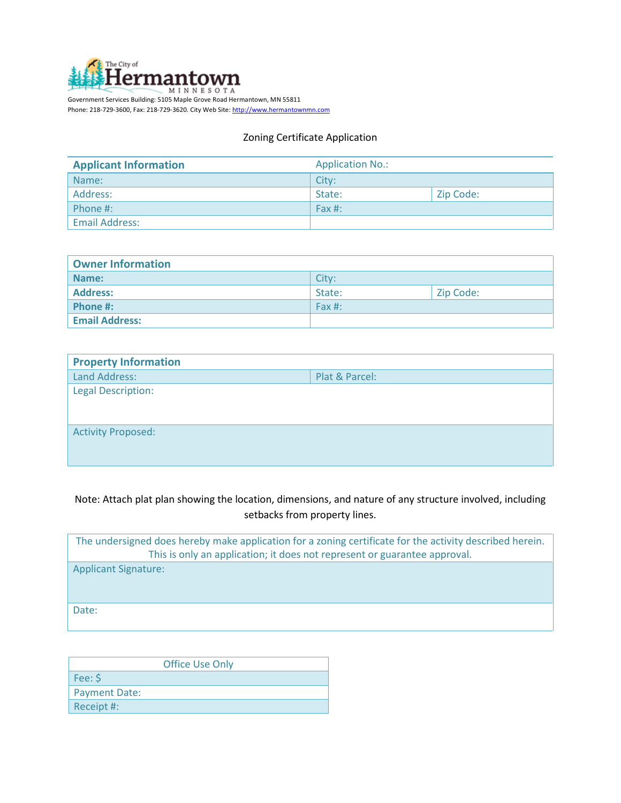

Phone: 218-729-3600, Fax: 218-729-3620. City Web Site[: http://www.hermantownmn.com](http://www.hermantownmn.com/)

#### Zoning Certificate Application

| <b>Applicant Information</b> | <b>Application No.:</b>                     |           |  |  |  |
|------------------------------|---------------------------------------------|-----------|--|--|--|
| Name:                        | City:                                       |           |  |  |  |
| Address:                     | State:                                      | Zip Code: |  |  |  |
| Phone #:                     | $\sqrt{\mathsf{F} \cdot \mathsf{A}}$ Fax #: |           |  |  |  |
| <b>Email Address:</b>        |                                             |           |  |  |  |

| <b>Owner Information</b> |            |           |  |  |  |  |  |
|--------------------------|------------|-----------|--|--|--|--|--|
| Name:                    | City:      |           |  |  |  |  |  |
| <b>Address:</b>          | State:     | Zip Code: |  |  |  |  |  |
| Phone #:                 | $'$ Fax #: |           |  |  |  |  |  |
| <b>Email Address:</b>    |            |           |  |  |  |  |  |

| <b>Property Information</b> |                |
|-----------------------------|----------------|
| Land Address:               | Plat & Parcel: |
| <b>Legal Description:</b>   |                |
|                             |                |
| <b>Activity Proposed:</b>   |                |
|                             |                |
|                             |                |

### Note: Attach plat plan showing the location, dimensions, and nature of any structure involved, including setbacks from property lines.

| The undersigned does hereby make application for a zoning certificate for the activity described herein.<br>This is only an application; it does not represent or guarantee approval. |
|---------------------------------------------------------------------------------------------------------------------------------------------------------------------------------------|
| <b>Applicant Signature:</b>                                                                                                                                                           |
| Date:                                                                                                                                                                                 |

|                      | <b>Office Use Only</b> |
|----------------------|------------------------|
| Fee: \$              |                        |
| <b>Payment Date:</b> |                        |
| Receipt #:           |                        |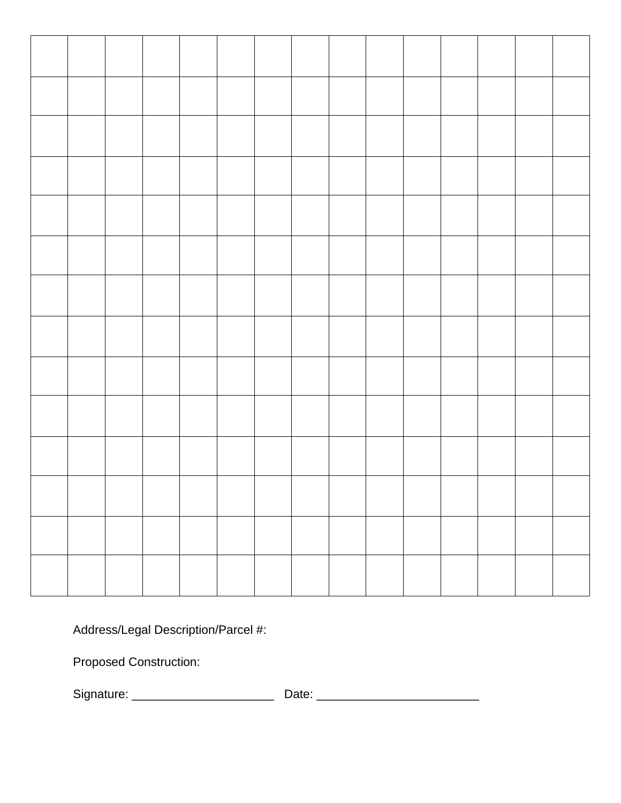Address/Legal Description/Parcel #:

Proposed Construction:

Signature: \_\_\_\_\_\_\_\_\_\_\_\_\_\_\_\_\_\_\_\_\_ Date: \_\_\_\_\_\_\_\_\_\_\_\_\_\_\_\_\_\_\_\_\_\_\_\_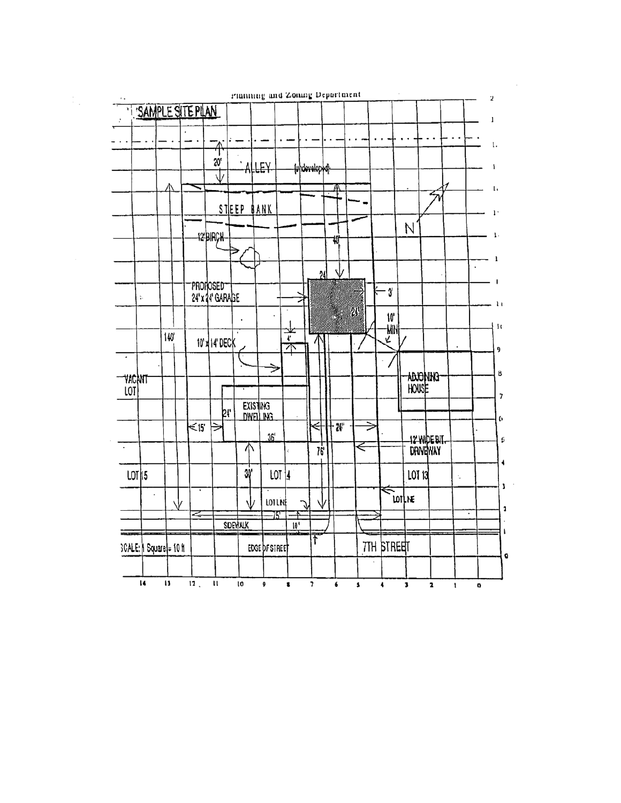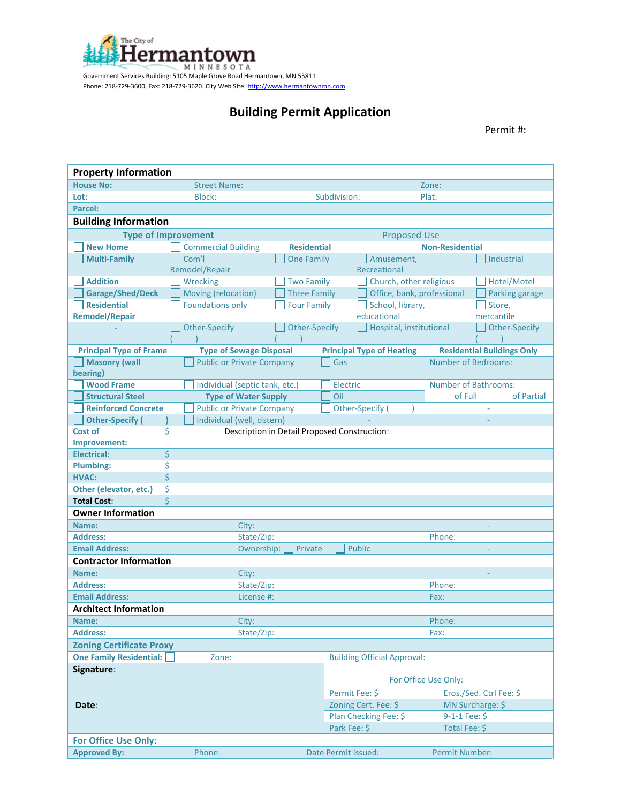

Government Services Building: 5105 Maple Grove Road Hermantown, MN 55811 Phone: 218-729-3600, Fax: 218-729-3620. City Web Site[: http://www.hermantownmn.com](http://www.hermantownmn.com/)

# **Building Permit Application**

Permit #:

| <b>Property Information</b>             |                                  |                      |                                              |                            |                                   |  |  |  |  |  |
|-----------------------------------------|----------------------------------|----------------------|----------------------------------------------|----------------------------|-----------------------------------|--|--|--|--|--|
| <b>House No:</b>                        | <b>Street Name:</b>              |                      |                                              | Zone:                      |                                   |  |  |  |  |  |
| Lot:                                    | Block:                           |                      | Subdivision:                                 | Plat:                      |                                   |  |  |  |  |  |
| Parcel:                                 |                                  |                      |                                              |                            |                                   |  |  |  |  |  |
| <b>Building Information</b>             |                                  |                      |                                              |                            |                                   |  |  |  |  |  |
| <b>Type of Improvement</b>              |                                  |                      | <b>Proposed Use</b>                          |                            |                                   |  |  |  |  |  |
| <b>New Home</b>                         | <b>Commercial Building</b>       | <b>Residential</b>   |                                              | <b>Non-Residential</b>     |                                   |  |  |  |  |  |
| <b>Multi-Family</b>                     | Com'l                            | <b>One Family</b>    | Amusement,                                   |                            | Industrial                        |  |  |  |  |  |
|                                         | Remodel/Repair                   |                      | Recreational                                 |                            |                                   |  |  |  |  |  |
| <b>Addition</b>                         | Wrecking                         | <b>Two Family</b>    | Church, other religious                      |                            | Hotel/Motel                       |  |  |  |  |  |
| <b>Garage/Shed/Deck</b>                 | Moving (relocation)              | <b>Three Family</b>  |                                              | Office, bank, professional | Parking garage                    |  |  |  |  |  |
| <b>Residential</b>                      | <b>Foundations only</b>          | <b>Four Family</b>   | School, library,                             |                            | Store,                            |  |  |  |  |  |
| <b>Remodel/Repair</b>                   |                                  |                      | educational                                  |                            | mercantile                        |  |  |  |  |  |
|                                         | <b>Other-Specify</b>             | <b>Other-Specify</b> | Hospital, institutional                      |                            | <b>Other-Specify</b>              |  |  |  |  |  |
|                                         |                                  |                      |                                              |                            |                                   |  |  |  |  |  |
| <b>Principal Type of Frame</b>          | <b>Type of Sewage Disposal</b>   |                      | <b>Principal Type of Heating</b>             |                            | <b>Residential Buildings Only</b> |  |  |  |  |  |
| <b>Masonry (wall</b>                    | <b>Public or Private Company</b> |                      | Gas                                          | <b>Number of Bedrooms:</b> |                                   |  |  |  |  |  |
| bearing)                                |                                  |                      |                                              |                            |                                   |  |  |  |  |  |
| <b>Wood Frame</b>                       | Individual (septic tank, etc.)   |                      | Electric                                     |                            | <b>Number of Bathrooms:</b>       |  |  |  |  |  |
| <b>Structural Steel</b>                 | <b>Type of Water Supply</b>      |                      | Oil                                          | of Full                    | of Partial                        |  |  |  |  |  |
| <b>Reinforced Concrete</b>              | <b>Public or Private Company</b> |                      | Other-Specify (                              |                            |                                   |  |  |  |  |  |
| <b>Other-Specify</b>                    | Individual (well, cistern)       |                      |                                              |                            |                                   |  |  |  |  |  |
| \$<br>Cost of                           |                                  |                      | Description in Detail Proposed Construction: |                            |                                   |  |  |  |  |  |
| Improvement:                            |                                  |                      |                                              |                            |                                   |  |  |  |  |  |
| \$<br><b>Electrical:</b>                |                                  |                      |                                              |                            |                                   |  |  |  |  |  |
| \$<br><b>Plumbing:</b>                  |                                  |                      |                                              |                            |                                   |  |  |  |  |  |
| $\overline{\mathsf{S}}$<br><b>HVAC:</b> |                                  |                      |                                              |                            |                                   |  |  |  |  |  |
| \$<br>Other (elevator, etc.)            |                                  |                      |                                              |                            |                                   |  |  |  |  |  |
| Ś<br><b>Total Cost:</b>                 |                                  |                      |                                              |                            |                                   |  |  |  |  |  |
| <b>Owner Information</b>                |                                  |                      |                                              |                            |                                   |  |  |  |  |  |
| Name:                                   | City:                            |                      |                                              |                            |                                   |  |  |  |  |  |
| <b>Address:</b>                         | State/Zip:                       |                      |                                              | Phone:                     |                                   |  |  |  |  |  |
| <b>Email Address:</b>                   | Ownership:                       | Private              | <b>Public</b>                                |                            |                                   |  |  |  |  |  |
| <b>Contractor Information</b>           |                                  |                      |                                              |                            |                                   |  |  |  |  |  |
| Name:                                   | City:                            |                      |                                              |                            |                                   |  |  |  |  |  |
| <b>Address:</b>                         | State/Zip:                       |                      |                                              | Phone:                     |                                   |  |  |  |  |  |
| <b>Email Address:</b>                   | License #:                       |                      |                                              | Fax:                       |                                   |  |  |  |  |  |
| <b>Architect Information</b>            |                                  |                      |                                              |                            |                                   |  |  |  |  |  |
| Name:                                   | City:                            |                      |                                              | Phone:                     |                                   |  |  |  |  |  |
| <b>Address:</b>                         | State/Zip:                       |                      |                                              | Fax:                       |                                   |  |  |  |  |  |
| <b>Zoning Certificate Proxy</b>         |                                  |                      |                                              |                            |                                   |  |  |  |  |  |
| <b>One Family Residential:</b>          | Zone:                            |                      | <b>Building Official Approval:</b>           |                            |                                   |  |  |  |  |  |
| Signature:                              |                                  |                      |                                              |                            |                                   |  |  |  |  |  |
|                                         |                                  |                      |                                              | For Office Use Only:       |                                   |  |  |  |  |  |
|                                         |                                  |                      | Permit Fee: \$                               |                            | Eros./Sed. Ctrl Fee: \$           |  |  |  |  |  |
| Date:                                   |                                  |                      | Zoning Cert. Fee: \$                         |                            | MN Surcharge: \$                  |  |  |  |  |  |
|                                         |                                  |                      | Plan Checking Fee: \$                        | $9-1-1$ Fee: \$            |                                   |  |  |  |  |  |
|                                         |                                  |                      | Park Fee: \$                                 | Total Fee: \$              |                                   |  |  |  |  |  |
| <b>For Office Use Only:</b>             |                                  |                      |                                              |                            |                                   |  |  |  |  |  |
| <b>Approved By:</b>                     | Phone:                           |                      | Date Permit Issued:                          | <b>Permit Number:</b>      |                                   |  |  |  |  |  |